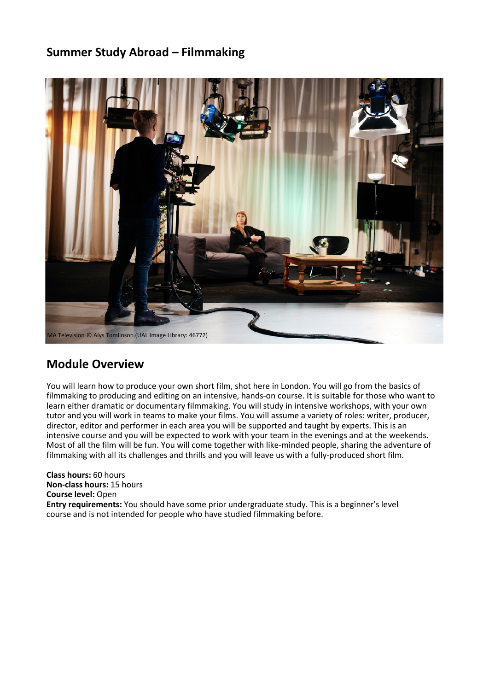#### **Summer Study Abroad – Filmmaking**



#### **Module Overview**

You will learn how to produce your own short film, shot here in London. You will go from the basics of filmmaking to producing and editing on an intensive, hands-on course. It is suitable for those who want to learn either dramatic or documentary filmmaking. You will study in intensive workshops, with your own tutor and you will work in teams to make your films. You will assume a variety of roles: writer, producer, director, editor and performer in each area you will be supported and taught by experts. This is an intensive course and you will be expected to work with your team in the evenings and at the weekends. Most of all the film will be fun. You will come together with like-minded people, sharing the adventure of filmmaking with all its challenges and thrills and you will leave us with a fully-produced short film.

**Class hours:** 60 hours **Non-class hours:** 15 hours **Course level:** Open **Entry requirements:** You should have some prior undergraduate study. This is a beginner's level course and is not intended for people who have studied filmmaking before.